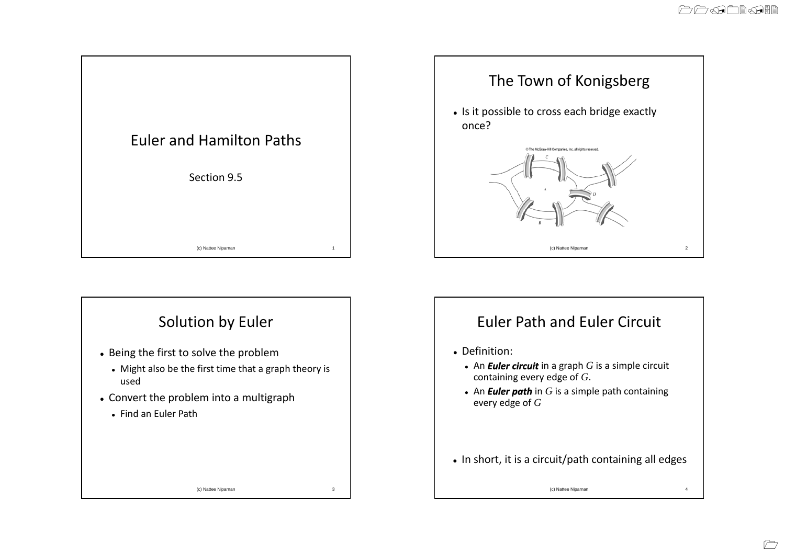



- Being the first to solve the problem
- Might also be the first time that a graph theory is used
- Convert the problem into a multigraph
- Find an Euler Path



## Euler Path and Euler Circuit

- Definition:
	- An *Euler circuit* in a graph *G* is a simple circuit containing every edge of *G*.
	- An **Euler path** in  $G$  is a simple path containing every edge of *G*
- In short, it is a circuit/path containing all edges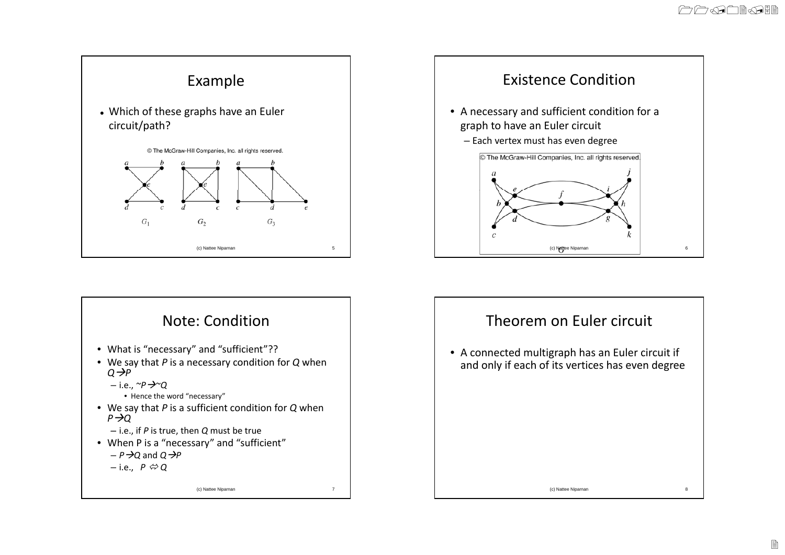





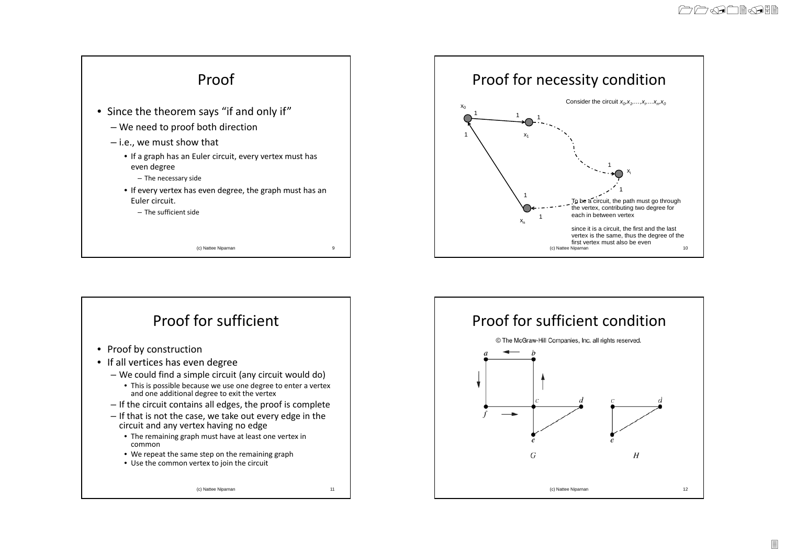



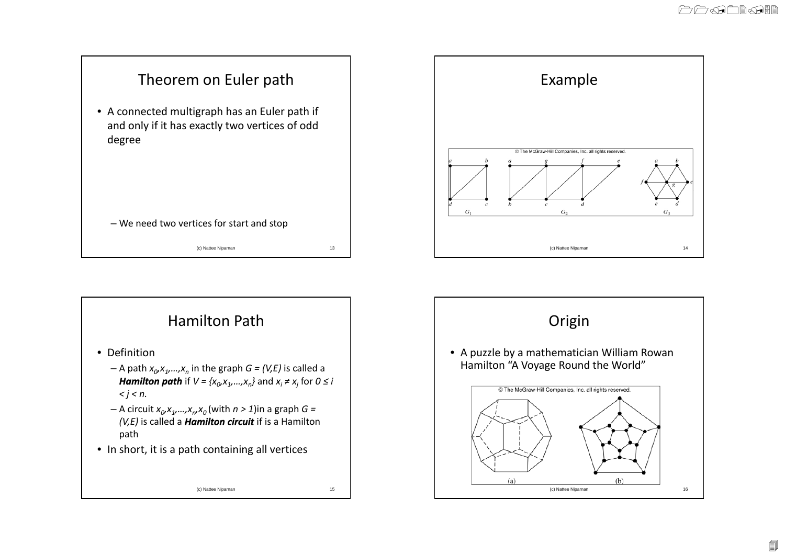



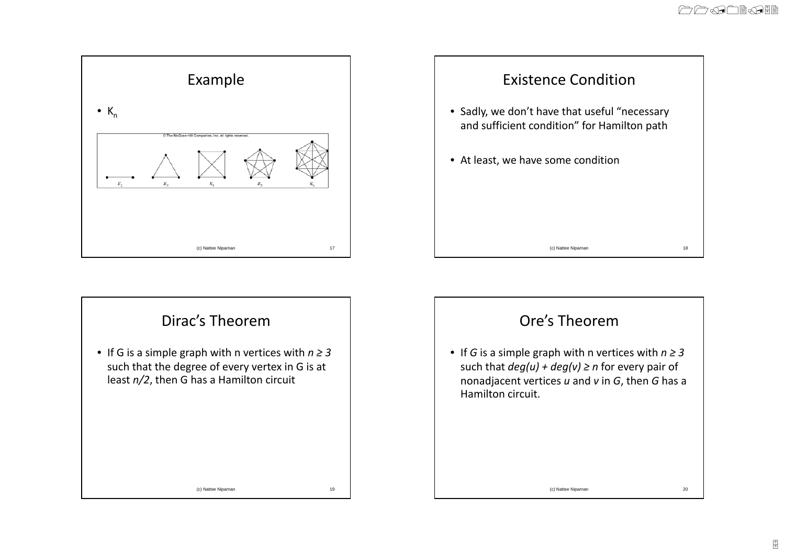

## Dirac's Theorem

• If G is <sup>a</sup> simple graph with <sup>n</sup> vertices with *<sup>n</sup> ≥ 3* such that the degree of every vertex in G is at least *n/2*, then G has <sup>a</sup> Hamilton circuit



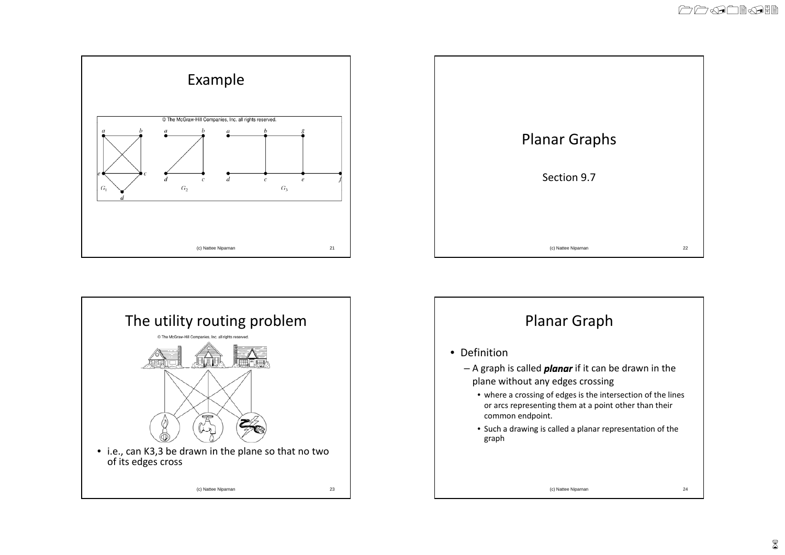





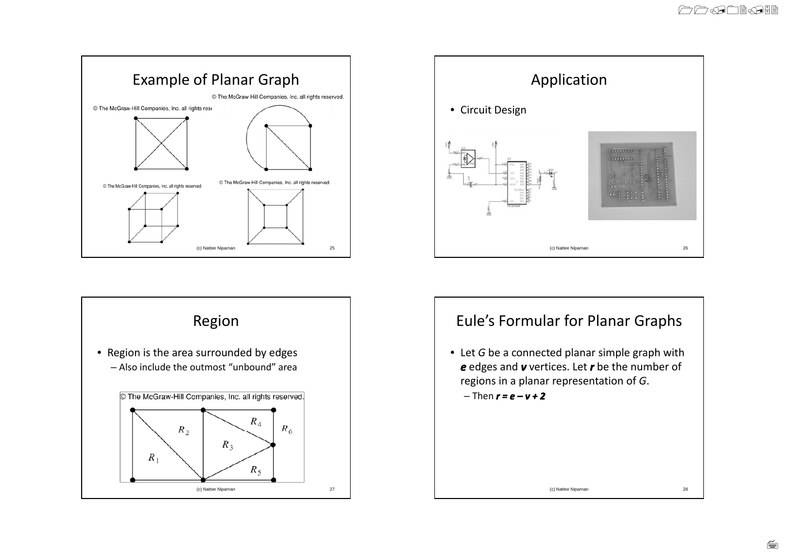





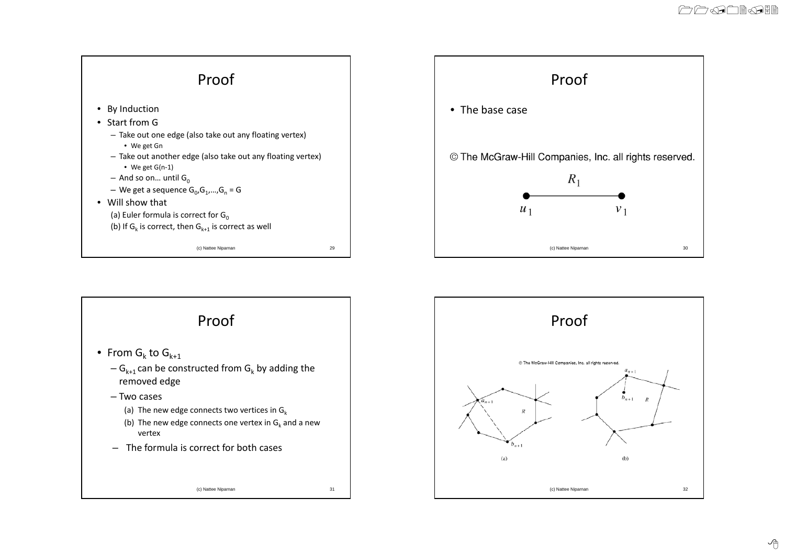



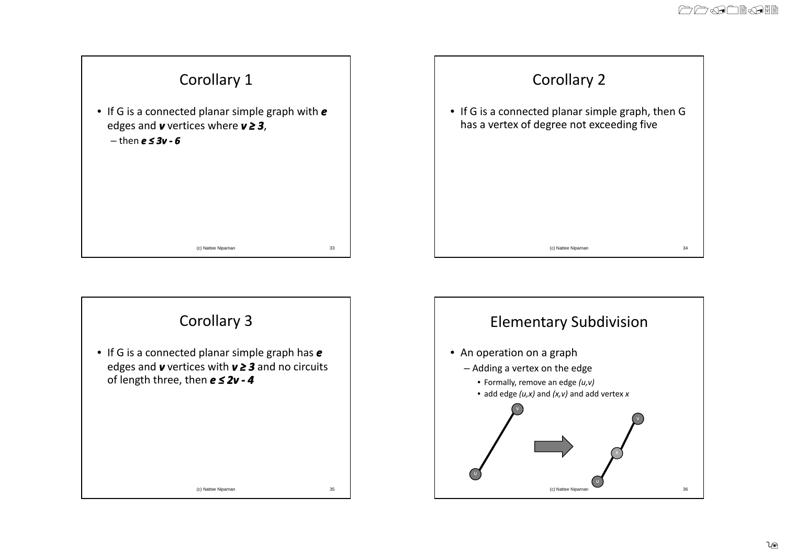



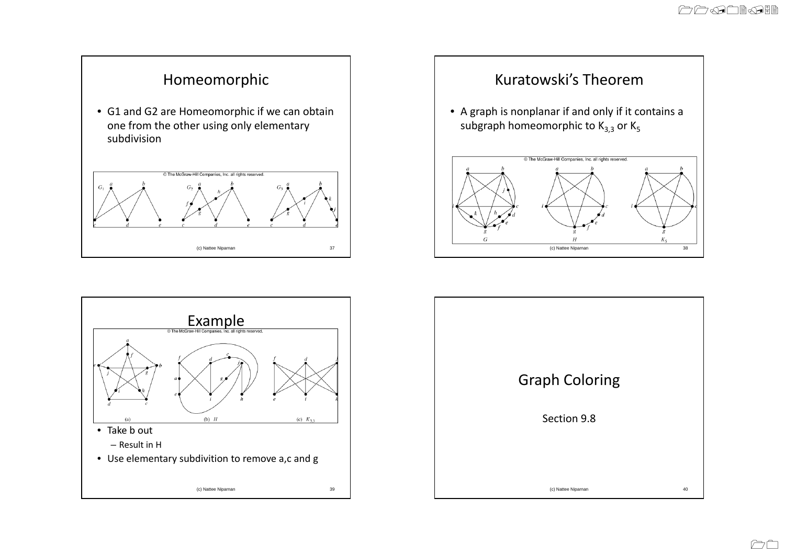



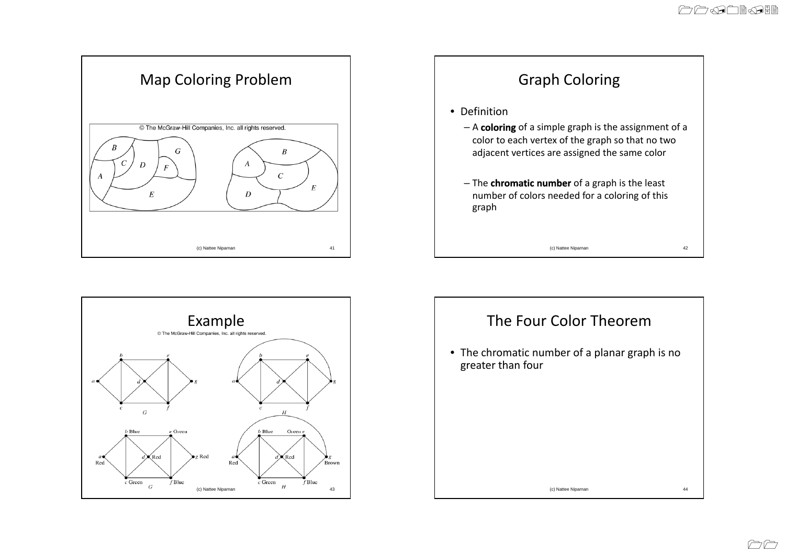







CC